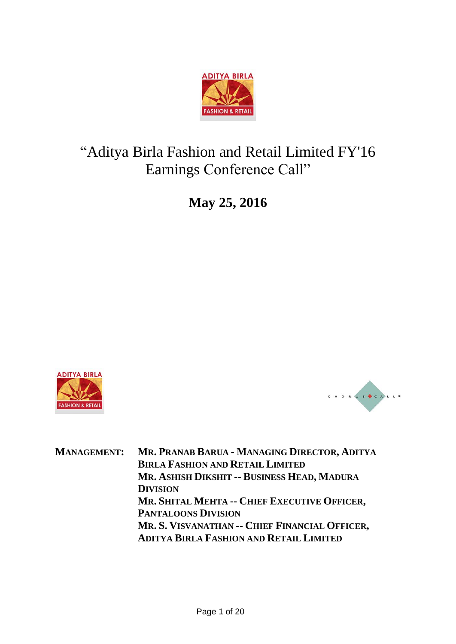

# "Aditya Birla Fashion and Retail Limited FY'16 Earnings Conference Call"

**May 25, 2016**

![](_page_0_Picture_3.jpeg)

![](_page_0_Picture_4.jpeg)

**MANAGEMENT: MR. PRANAB BARUA - MANAGING DIRECTOR, ADITYA BIRLA FASHION AND RETAIL LIMITED MR. ASHISH DIKSHIT -- BUSINESS HEAD, MADURA DIVISION MR. SHITAL MEHTA -- CHIEF EXECUTIVE OFFICER, PANTALOONS DIVISION MR. S. VISVANATHAN -- CHIEF FINANCIAL OFFICER, ADITYA BIRLA FASHION AND RETAIL LIMITED**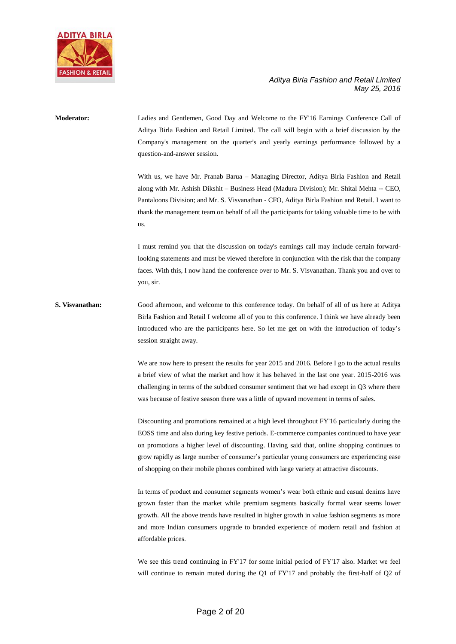![](_page_1_Picture_0.jpeg)

# **Moderator:** Ladies and Gentlemen, Good Day and Welcome to the FY'16 Earnings Conference Call of Aditya Birla Fashion and Retail Limited. The call will begin with a brief discussion by the Company's management on the quarter's and yearly earnings performance followed by a question-and-answer session. With us, we have Mr. Pranab Barua – Managing Director, Aditya Birla Fashion and Retail along with Mr. Ashish Dikshit – Business Head (Madura Division); Mr. Shital Mehta -- CEO, Pantaloons Division; and Mr. S. Visvanathan - CFO, Aditya Birla Fashion and Retail. I want to thank the management team on behalf of all the participants for taking valuable time to be with us. I must remind you that the discussion on today's earnings call may include certain forwardlooking statements and must be viewed therefore in conjunction with the risk that the company faces. With this, I now hand the conference over to Mr. S. Visvanathan. Thank you and over to you, sir. **S. Visvanathan:** Good afternoon, and welcome to this conference today. On behalf of all of us here at Aditya Birla Fashion and Retail I welcome all of you to this conference. I think we have already been introduced who are the participants here. So let me get on with the introduction of today's session straight away. We are now here to present the results for year 2015 and 2016. Before I go to the actual results a brief view of what the market and how it has behaved in the last one year. 2015-2016 was challenging in terms of the subdued consumer sentiment that we had except in Q3 where there was because of festive season there was a little of upward movement in terms of sales. Discounting and promotions remained at a high level throughout FY'16 particularly during the EOSS time and also during key festive periods. E-commerce companies continued to have year on promotions a higher level of discounting. Having said that, online shopping continues to grow rapidly as large number of consumer's particular young consumers are experiencing ease of shopping on their mobile phones combined with large variety at attractive discounts. In terms of product and consumer segments women's wear both ethnic and casual denims have grown faster than the market while premium segments basically formal wear seems lower growth. All the above trends have resulted in higher growth in value fashion segments as more and more Indian consumers upgrade to branded experience of modern retail and fashion at affordable prices.

We see this trend continuing in FY'17 for some initial period of FY'17 also. Market we feel will continue to remain muted during the Q1 of FY'17 and probably the first-half of Q2 of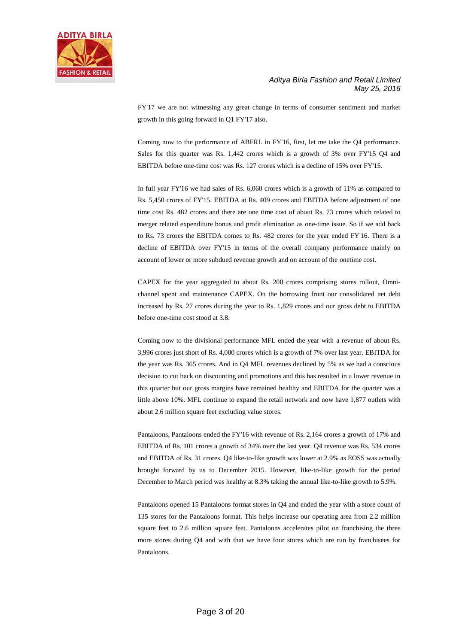![](_page_2_Picture_0.jpeg)

FY'17 we are not witnessing any great change in terms of consumer sentiment and market growth in this going forward in Q1 FY'17 also.

Coming now to the performance of ABFRL in FY'16, first, let me take the Q4 performance. Sales for this quarter was Rs. 1,442 crores which is a growth of 3% over FY'15 Q4 and EBITDA before one-time cost was Rs. 127 crores which is a decline of 15% over FY'15.

In full year FY'16 we had sales of Rs. 6,060 crores which is a growth of 11% as compared to Rs. 5,450 crores of FY'15. EBITDA at Rs. 409 crores and EBITDA before adjustment of one time cost Rs. 482 crores and there are one time cost of about Rs. 73 crores which related to merger related expenditure bonus and profit elimination as one-time issue. So if we add back to Rs. 73 crores the EBITDA comes to Rs. 482 crores for the year ended FY'16. There is a decline of EBITDA over FY'15 in terms of the overall company performance mainly on account of lower or more subdued revenue growth and on account of the onetime cost.

CAPEX for the year aggregated to about Rs. 200 crores comprising stores rollout, Omnichannel spent and maintenance CAPEX. On the borrowing front our consolidated net debt increased by Rs. 27 crores during the year to Rs. 1,829 crores and our gross debt to EBITDA before one-time cost stood at 3.8.

Coming now to the divisional performance MFL ended the year with a revenue of about Rs. 3,996 crores just short of Rs. 4,000 crores which is a growth of 7% over last year. EBITDA for the year was Rs. 365 crores. And in Q4 MFL revenues declined by 5% as we had a conscious decision to cut back on discounting and promotions and this has resulted in a lower revenue in this quarter but our gross margins have remained healthy and EBITDA for the quarter was a little above 10%. MFL continue to expand the retail network and now have 1,877 outlets with about 2.6 million square feet excluding value stores.

Pantaloons, Pantaloons ended the FY'16 with revenue of Rs. 2,164 crores a growth of 17% and EBITDA of Rs. 101 crores a growth of 34% over the last year. Q4 revenue was Rs. 534 crores and EBITDA of Rs. 31 crores. Q4 like-to-like growth was lower at 2.9% as EOSS was actually brought forward by us to December 2015. However, like-to-like growth for the period December to March period was healthy at 8.3% taking the annual like-to-like growth to 5.9%.

Pantaloons opened 15 Pantaloons format stores in Q4 and ended the year with a store count of 135 stores for the Pantaloons format. This helps increase our operating area from 2.2 million square feet to 2.6 million square feet. Pantaloons accelerates pilot on franchising the three more stores during Q4 and with that we have four stores which are run by franchisees for Pantaloons.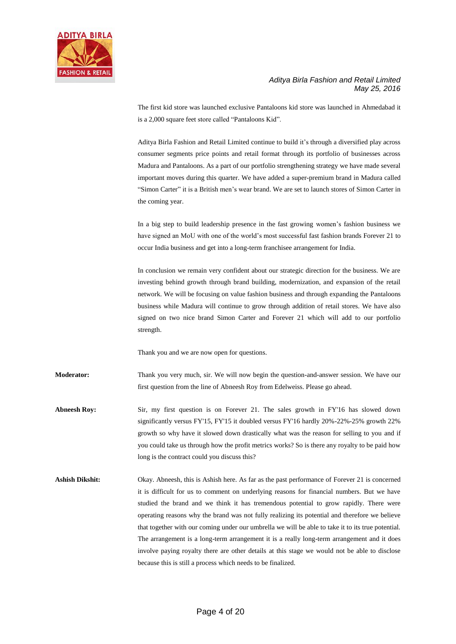![](_page_3_Picture_0.jpeg)

The first kid store was launched exclusive Pantaloons kid store was launched in Ahmedabad it is a 2,000 square feet store called "Pantaloons Kid".

Aditya Birla Fashion and Retail Limited continue to build it's through a diversified play across consumer segments price points and retail format through its portfolio of businesses across Madura and Pantaloons. As a part of our portfolio strengthening strategy we have made several important moves during this quarter. We have added a super-premium brand in Madura called "Simon Carter" it is a British men's wear brand. We are set to launch stores of Simon Carter in the coming year.

In a big step to build leadership presence in the fast growing women's fashion business we have signed an MoU with one of the world's most successful fast fashion brands Forever 21 to occur India business and get into a long-term franchisee arrangement for India.

In conclusion we remain very confident about our strategic direction for the business. We are investing behind growth through brand building, modernization, and expansion of the retail network. We will be focusing on value fashion business and through expanding the Pantaloons business while Madura will continue to grow through addition of retail stores. We have also signed on two nice brand Simon Carter and Forever 21 which will add to our portfolio strength.

Thank you and we are now open for questions.

**Moderator:** Thank you very much, sir. We will now begin the question-and-answer session. We have our first question from the line of Abneesh Roy from Edelweiss. Please go ahead.

**Abneesh Roy:** Sir, my first question is on Forever 21. The sales growth in FY'16 has slowed down significantly versus FY'15, FY'15 it doubled versus FY'16 hardly 20%-22%-25% growth 22% growth so why have it slowed down drastically what was the reason for selling to you and if you could take us through how the profit metrics works? So is there any royalty to be paid how long is the contract could you discuss this?

**Ashish Dikshit:** Okay. Abneesh, this is Ashish here. As far as the past performance of Forever 21 is concerned it is difficult for us to comment on underlying reasons for financial numbers. But we have studied the brand and we think it has tremendous potential to grow rapidly. There were operating reasons why the brand was not fully realizing its potential and therefore we believe that together with our coming under our umbrella we will be able to take it to its true potential. The arrangement is a long-term arrangement it is a really long-term arrangement and it does involve paying royalty there are other details at this stage we would not be able to disclose because this is still a process which needs to be finalized.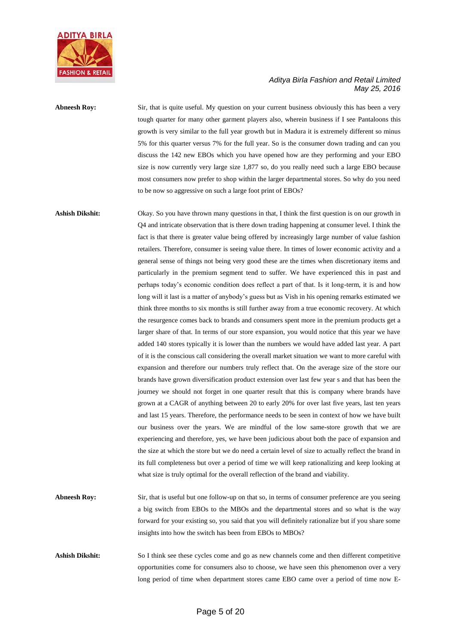![](_page_4_Picture_0.jpeg)

Abneesh Roy: Sir, that is quite useful. My question on your current business obviously this has been a very tough quarter for many other garment players also, wherein business if I see Pantaloons this growth is very similar to the full year growth but in Madura it is extremely different so minus 5% for this quarter versus 7% for the full year. So is the consumer down trading and can you discuss the 142 new EBOs which you have opened how are they performing and your EBO size is now currently very large size 1,877 so, do you really need such a large EBO because most consumers now prefer to shop within the larger departmental stores. So why do you need to be now so aggressive on such a large foot print of EBOs?

## **Ashish Dikshit:** Okay. So you have thrown many questions in that, I think the first question is on our growth in Q4 and intricate observation that is there down trading happening at consumer level. I think the fact is that there is greater value being offered by increasingly large number of value fashion retailers. Therefore, consumer is seeing value there. In times of lower economic activity and a general sense of things not being very good these are the times when discretionary items and particularly in the premium segment tend to suffer. We have experienced this in past and perhaps today's economic condition does reflect a part of that. Is it long-term, it is and how long will it last is a matter of anybody's guess but as Vish in his opening remarks estimated we think three months to six months is still further away from a true economic recovery. At which the resurgence comes back to brands and consumers spent more in the premium products get a larger share of that. In terms of our store expansion, you would notice that this year we have added 140 stores typically it is lower than the numbers we would have added last year. A part of it is the conscious call considering the overall market situation we want to more careful with expansion and therefore our numbers truly reflect that. On the average size of the store our brands have grown diversification product extension over last few year s and that has been the journey we should not forget in one quarter result that this is company where brands have grown at a CAGR of anything between 20 to early 20% for over last five years, last ten years and last 15 years. Therefore, the performance needs to be seen in context of how we have built our business over the years. We are mindful of the low same-store growth that we are experiencing and therefore, yes, we have been judicious about both the pace of expansion and the size at which the store but we do need a certain level of size to actually reflect the brand in its full completeness but over a period of time we will keep rationalizing and keep looking at what size is truly optimal for the overall reflection of the brand and viability.

- **Abneesh Roy:** Sir, that is useful but one follow-up on that so, in terms of consumer preference are you seeing a big switch from EBOs to the MBOs and the departmental stores and so what is the way forward for your existing so, you said that you will definitely rationalize but if you share some insights into how the switch has been from EBOs to MBOs?
- **Ashish Dikshit:** So I think see these cycles come and go as new channels come and then different competitive opportunities come for consumers also to choose, we have seen this phenomenon over a very long period of time when department stores came EBO came over a period of time now E-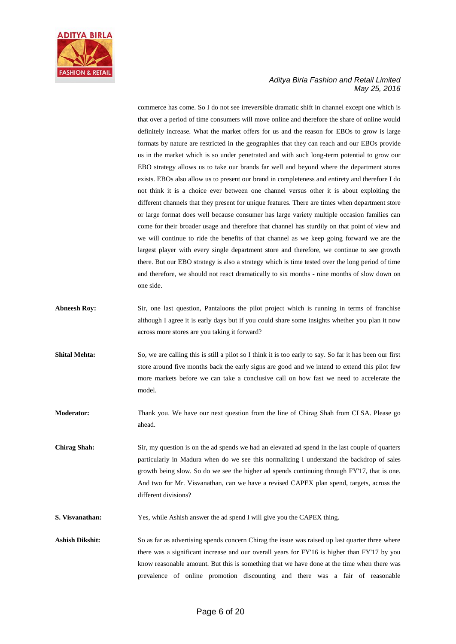![](_page_5_Picture_0.jpeg)

commerce has come. So I do not see irreversible dramatic shift in channel except one which is that over a period of time consumers will move online and therefore the share of online would definitely increase. What the market offers for us and the reason for EBOs to grow is large formats by nature are restricted in the geographies that they can reach and our EBOs provide us in the market which is so under penetrated and with such long-term potential to grow our EBO strategy allows us to take our brands far well and beyond where the department stores exists. EBOs also allow us to present our brand in completeness and entirety and therefore I do not think it is a choice ever between one channel versus other it is about exploiting the different channels that they present for unique features. There are times when department store or large format does well because consumer has large variety multiple occasion families can come for their broader usage and therefore that channel has sturdily on that point of view and we will continue to ride the benefits of that channel as we keep going forward we are the largest player with every single department store and therefore, we continue to see growth there. But our EBO strategy is also a strategy which is time tested over the long period of time and therefore, we should not react dramatically to six months - nine months of slow down on one side.

- Abneesh Roy: Sir, one last question, Pantaloons the pilot project which is running in terms of franchise although I agree it is early days but if you could share some insights whether you plan it now across more stores are you taking it forward?
- **Shital Mehta:** So, we are calling this is still a pilot so I think it is too early to say. So far it has been our first store around five months back the early signs are good and we intend to extend this pilot few more markets before we can take a conclusive call on how fast we need to accelerate the model.

**Moderator:** Thank you. We have our next question from the line of Chirag Shah from CLSA. Please go ahead.

**Chirag Shah:** Sir, my question is on the ad spends we had an elevated ad spend in the last couple of quarters particularly in Madura when do we see this normalizing I understand the backdrop of sales growth being slow. So do we see the higher ad spends continuing through FY'17, that is one. And two for Mr. Visvanathan, can we have a revised CAPEX plan spend, targets, across the different divisions?

**S. Visvanathan:** Yes, while Ashish answer the ad spend I will give you the CAPEX thing.

Ashish Dikshit: So as far as advertising spends concern Chirag the issue was raised up last quarter three where there was a significant increase and our overall years for FY'16 is higher than FY'17 by you know reasonable amount. But this is something that we have done at the time when there was prevalence of online promotion discounting and there was a fair of reasonable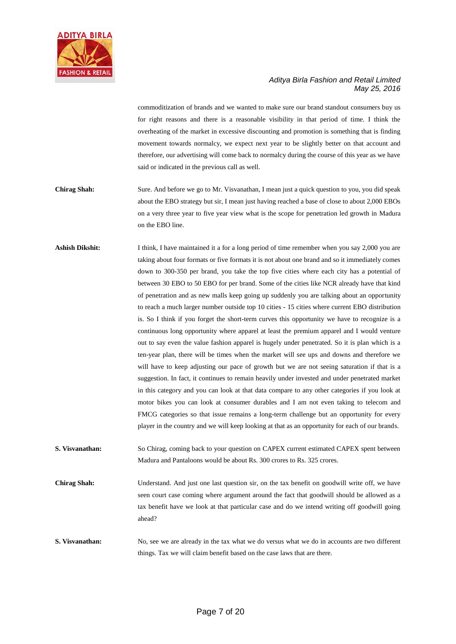![](_page_6_Picture_0.jpeg)

commoditization of brands and we wanted to make sure our brand standout consumers buy us for right reasons and there is a reasonable visibility in that period of time. I think the overheating of the market in excessive discounting and promotion is something that is finding movement towards normalcy, we expect next year to be slightly better on that account and therefore, our advertising will come back to normalcy during the course of this year as we have said or indicated in the previous call as well.

- **Chirag Shah:** Sure. And before we go to Mr. Visvanathan, I mean just a quick question to you, you did speak about the EBO strategy but sir, I mean just having reached a base of close to about 2,000 EBOs on a very three year to five year view what is the scope for penetration led growth in Madura on the EBO line.
- Ashish Dikshit: I think, I have maintained it a for a long period of time remember when you say 2,000 you are taking about four formats or five formats it is not about one brand and so it immediately comes down to 300-350 per brand, you take the top five cities where each city has a potential of between 30 EBO to 50 EBO for per brand. Some of the cities like NCR already have that kind of penetration and as new malls keep going up suddenly you are talking about an opportunity to reach a much larger number outside top 10 cities - 15 cities where current EBO distribution is. So I think if you forget the short-term curves this opportunity we have to recognize is a continuous long opportunity where apparel at least the premium apparel and I would venture out to say even the value fashion apparel is hugely under penetrated. So it is plan which is a ten-year plan, there will be times when the market will see ups and downs and therefore we will have to keep adjusting our pace of growth but we are not seeing saturation if that is a suggestion. In fact, it continues to remain heavily under invested and under penetrated market in this category and you can look at that data compare to any other categories if you look at motor bikes you can look at consumer durables and I am not even taking to telecom and FMCG categories so that issue remains a long-term challenge but an opportunity for every player in the country and we will keep looking at that as an opportunity for each of our brands.
- **S. Visvanathan:** So Chirag, coming back to your question on CAPEX current estimated CAPEX spent between Madura and Pantaloons would be about Rs. 300 crores to Rs. 325 crores.
- **Chirag Shah:** Understand. And just one last question sir, on the tax benefit on goodwill write off, we have seen court case coming where argument around the fact that goodwill should be allowed as a tax benefit have we look at that particular case and do we intend writing off goodwill going ahead?
- **S. Visvanathan:** No, see we are already in the tax what we do versus what we do in accounts are two different things. Tax we will claim benefit based on the case laws that are there.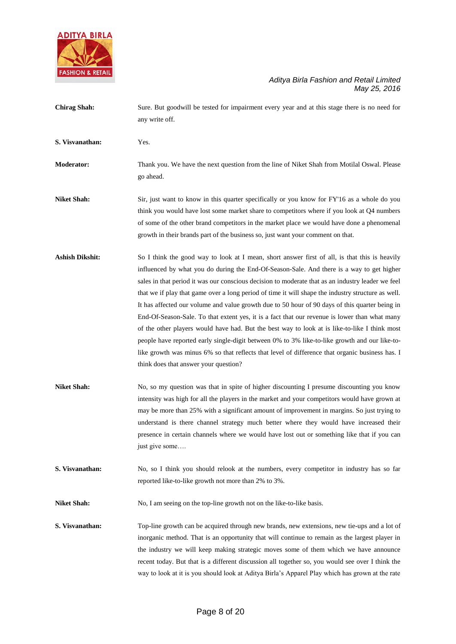![](_page_7_Picture_0.jpeg)

- **Chirag Shah:** Sure. But goodwill be tested for impairment every year and at this stage there is no need for any write off.
- **S. Visvanathan:** Yes.

**Moderator:** Thank you. We have the next question from the line of Niket Shah from Motilal Oswal. Please go ahead.

**Niket Shah:** Sir, just want to know in this quarter specifically or you know for FY'16 as a whole do you think you would have lost some market share to competitors where if you look at Q4 numbers of some of the other brand competitors in the market place we would have done a phenomenal growth in their brands part of the business so, just want your comment on that.

- **Ashish Dikshit:** So I think the good way to look at I mean, short answer first of all, is that this is heavily influenced by what you do during the End-Of-Season-Sale. And there is a way to get higher sales in that period it was our conscious decision to moderate that as an industry leader we feel that we if play that game over a long period of time it will shape the industry structure as well. It has affected our volume and value growth due to 50 hour of 90 days of this quarter being in End-Of-Season-Sale. To that extent yes, it is a fact that our revenue is lower than what many of the other players would have had. But the best way to look at is like-to-like I think most people have reported early single-digit between 0% to 3% like-to-like growth and our like-tolike growth was minus 6% so that reflects that level of difference that organic business has. I think does that answer your question?
- **Niket Shah:** No, so my question was that in spite of higher discounting I presume discounting you know intensity was high for all the players in the market and your competitors would have grown at may be more than 25% with a significant amount of improvement in margins. So just trying to understand is there channel strategy much better where they would have increased their presence in certain channels where we would have lost out or something like that if you can just give some….
- **S. Visvanathan:** No, so I think you should relook at the numbers, every competitor in industry has so far reported like-to-like growth not more than 2% to 3%.

Niket Shah: No, I am seeing on the top-line growth not on the like-to-like basis.

**S. Visvanathan:** Top-line growth can be acquired through new brands, new extensions, new tie-ups and a lot of inorganic method. That is an opportunity that will continue to remain as the largest player in the industry we will keep making strategic moves some of them which we have announce recent today. But that is a different discussion all together so, you would see over I think the way to look at it is you should look at Aditya Birla's Apparel Play which has grown at the rate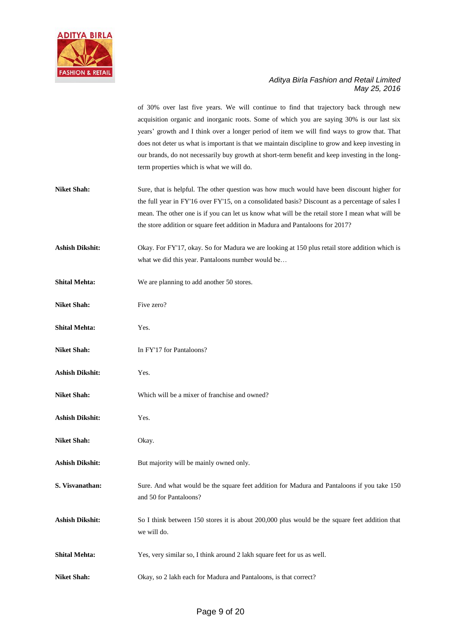![](_page_8_Picture_0.jpeg)

of 30% over last five years. We will continue to find that trajectory back through new acquisition organic and inorganic roots. Some of which you are saying 30% is our last six years' growth and I think over a longer period of item we will find ways to grow that. That does not deter us what is important is that we maintain discipline to grow and keep investing in our brands, do not necessarily buy growth at short-term benefit and keep investing in the longterm properties which is what we will do.

- Niket Shah: Sure, that is helpful. The other question was how much would have been discount higher for the full year in FY'16 over FY'15, on a consolidated basis? Discount as a percentage of sales I mean. The other one is if you can let us know what will be the retail store I mean what will be the store addition or square feet addition in Madura and Pantaloons for 2017?
- **Ashish Dikshit:** Okay. For FY'17, okay. So for Madura we are looking at 150 plus retail store addition which is what we did this year. Pantaloons number would be…
- **Shital Mehta:** We are planning to add another 50 stores.
- **Niket Shah:** Five zero?
- **Shital Mehta:** Yes.
- **Niket Shah:** In FY'17 for Pantaloons?
- **Ashish Dikshit:** Yes.
- **Niket Shah:** Which will be a mixer of franchise and owned?
- **Ashish Dikshit:** Yes.
- **Niket Shah:** Okay.
- Ashish Dikshit: But majority will be mainly owned only.
- **S. Visvanathan:** Sure. And what would be the square feet addition for Madura and Pantaloons if you take 150 and 50 for Pantaloons?
- **Ashish Dikshit:** So I think between 150 stores it is about 200,000 plus would be the square feet addition that we will do.
- **Shital Mehta:** Yes, very similar so, I think around 2 lakh square feet for us as well.
- **Niket Shah:** Okay, so 2 lakh each for Madura and Pantaloons, is that correct?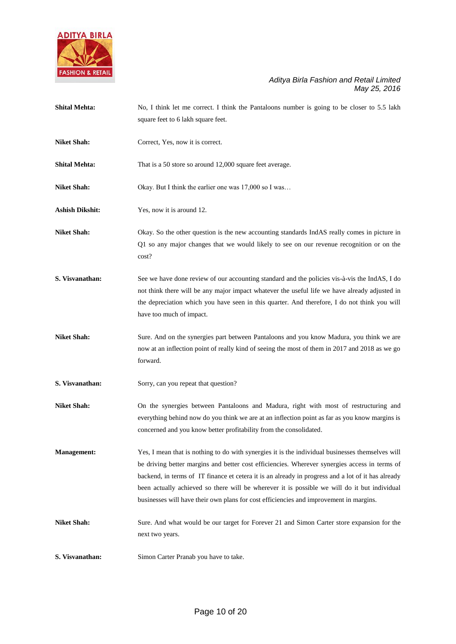![](_page_9_Picture_0.jpeg)

| <b>Shital Mehta:</b>   | No, I think let me correct. I think the Pantaloons number is going to be closer to 5.5 lakh                                                                                                                                                                                                                                                                                                                                                                                                       |
|------------------------|---------------------------------------------------------------------------------------------------------------------------------------------------------------------------------------------------------------------------------------------------------------------------------------------------------------------------------------------------------------------------------------------------------------------------------------------------------------------------------------------------|
|                        | square feet to 6 lakh square feet.                                                                                                                                                                                                                                                                                                                                                                                                                                                                |
| <b>Niket Shah:</b>     | Correct, Yes, now it is correct.                                                                                                                                                                                                                                                                                                                                                                                                                                                                  |
| <b>Shital Mehta:</b>   | That is a 50 store so around 12,000 square feet average.                                                                                                                                                                                                                                                                                                                                                                                                                                          |
| <b>Niket Shah:</b>     | Okay. But I think the earlier one was 17,000 so I was                                                                                                                                                                                                                                                                                                                                                                                                                                             |
| <b>Ashish Dikshit:</b> | Yes, now it is around 12.                                                                                                                                                                                                                                                                                                                                                                                                                                                                         |
| <b>Niket Shah:</b>     | Okay. So the other question is the new accounting standards IndAS really comes in picture in<br>Q1 so any major changes that we would likely to see on our revenue recognition or on the<br>cost?                                                                                                                                                                                                                                                                                                 |
| S. Visvanathan:        | See we have done review of our accounting standard and the policies vis-à-vis the IndAS, I do<br>not think there will be any major impact whatever the useful life we have already adjusted in<br>the depreciation which you have seen in this quarter. And therefore, I do not think you will<br>have too much of impact.                                                                                                                                                                        |
| <b>Niket Shah:</b>     | Sure. And on the synergies part between Pantaloons and you know Madura, you think we are<br>now at an inflection point of really kind of seeing the most of them in 2017 and 2018 as we go<br>forward.                                                                                                                                                                                                                                                                                            |
| S. Visvanathan:        | Sorry, can you repeat that question?                                                                                                                                                                                                                                                                                                                                                                                                                                                              |
| <b>Niket Shah:</b>     | On the synergies between Pantaloons and Madura, right with most of restructuring and<br>everything behind now do you think we are at an inflection point as far as you know margins is<br>concerned and you know better profitability from the consolidated.                                                                                                                                                                                                                                      |
| <b>Management:</b>     | Yes, I mean that is nothing to do with synergies it is the individual businesses themselves will<br>be driving better margins and better cost efficiencies. Wherever synergies access in terms of<br>backend, in terms of IT finance et cetera it is an already in progress and a lot of it has already<br>been actually achieved so there will be wherever it is possible we will do it but individual<br>businesses will have their own plans for cost efficiencies and improvement in margins. |
| <b>Niket Shah:</b>     | Sure. And what would be our target for Forever 21 and Simon Carter store expansion for the<br>next two years.                                                                                                                                                                                                                                                                                                                                                                                     |
| S. Visvanathan:        | Simon Carter Pranab you have to take.                                                                                                                                                                                                                                                                                                                                                                                                                                                             |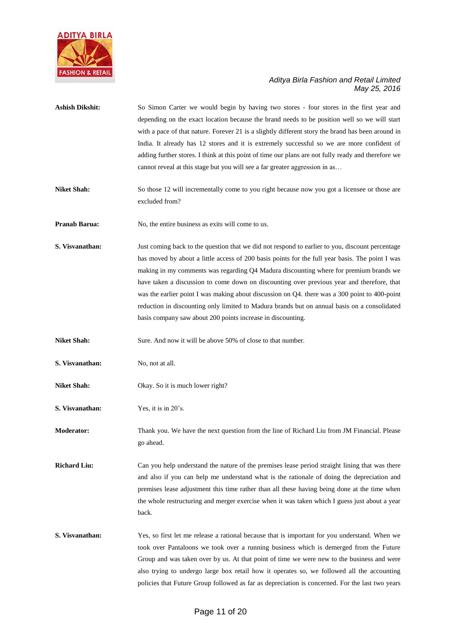![](_page_10_Picture_0.jpeg)

| <b>Ashish Dikshit:</b> | So Simon Carter we would begin by having two stores - four stores in the first year and<br>depending on the exact location because the brand needs to be position well so we will start<br>with a pace of that nature. Forever 21 is a slightly different story the brand has been around in<br>India. It already has 12 stores and it is extremely successful so we are more confident of<br>adding further stores. I think at this point of time our plans are not fully ready and therefore we<br>cannot reveal at this stage but you will see a far greater aggression in as                                                                          |
|------------------------|-----------------------------------------------------------------------------------------------------------------------------------------------------------------------------------------------------------------------------------------------------------------------------------------------------------------------------------------------------------------------------------------------------------------------------------------------------------------------------------------------------------------------------------------------------------------------------------------------------------------------------------------------------------|
| <b>Niket Shah:</b>     | So those 12 will incrementally come to you right because now you got a licensee or those are<br>excluded from?                                                                                                                                                                                                                                                                                                                                                                                                                                                                                                                                            |
| <b>Pranab Barua:</b>   | No, the entire business as exits will come to us.                                                                                                                                                                                                                                                                                                                                                                                                                                                                                                                                                                                                         |
| S. Visvanathan:        | Just coming back to the question that we did not respond to earlier to you, discount percentage<br>has moved by about a little access of 200 basis points for the full year basis. The point I was<br>making in my comments was regarding Q4 Madura discounting where for premium brands we<br>have taken a discussion to come down on discounting over previous year and therefore, that<br>was the earlier point I was making about discussion on Q4. there was a 300 point to 400-point<br>reduction in discounting only limited to Madura brands but on annual basis on a consolidated<br>basis company saw about 200 points increase in discounting. |
| <b>Niket Shah:</b>     | Sure. And now it will be above 50% of close to that number.                                                                                                                                                                                                                                                                                                                                                                                                                                                                                                                                                                                               |
| S. Visvanathan:        | No, not at all.                                                                                                                                                                                                                                                                                                                                                                                                                                                                                                                                                                                                                                           |
| <b>Niket Shah:</b>     | Okay. So it is much lower right?                                                                                                                                                                                                                                                                                                                                                                                                                                                                                                                                                                                                                          |
| S. Visvanathan:        | Yes, it is in 20's.                                                                                                                                                                                                                                                                                                                                                                                                                                                                                                                                                                                                                                       |
| <b>Moderator:</b>      | Thank you. We have the next question from the line of Richard Liu from JM Financial. Please<br>go ahead.                                                                                                                                                                                                                                                                                                                                                                                                                                                                                                                                                  |
| <b>Richard Liu:</b>    | Can you help understand the nature of the premises lease period straight lining that was there<br>and also if you can help me understand what is the rationale of doing the depreciation and<br>premises lease adjustment this time rather than all these having being done at the time when<br>the whole restructuring and merger exercise when it was taken which I guess just about a year<br>back.                                                                                                                                                                                                                                                    |
| S. Visvanathan:        | Yes, so first let me release a rational because that is important for you understand. When we<br>took over Pantaloons we took over a running business which is demerged from the Future<br>Group and was taken over by us. At that point of time we were new to the business and were<br>also trying to undergo large box retail how it operates so, we followed all the accounting<br>policies that Future Group followed as far as depreciation is concerned. For the last two years                                                                                                                                                                    |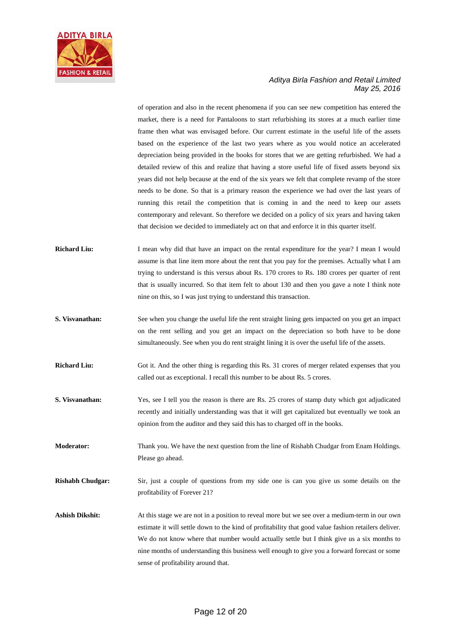![](_page_11_Picture_0.jpeg)

of operation and also in the recent phenomena if you can see new competition has entered the market, there is a need for Pantaloons to start refurbishing its stores at a much earlier time frame then what was envisaged before. Our current estimate in the useful life of the assets based on the experience of the last two years where as you would notice an accelerated depreciation being provided in the books for stores that we are getting refurbished. We had a detailed review of this and realize that having a store useful life of fixed assets beyond six years did not help because at the end of the six years we felt that complete revamp of the store needs to be done. So that is a primary reason the experience we had over the last years of running this retail the competition that is coming in and the need to keep our assets contemporary and relevant. So therefore we decided on a policy of six years and having taken that decision we decided to immediately act on that and enforce it in this quarter itself.

- **Richard Liu:** I mean why did that have an impact on the rental expenditure for the year? I mean I would assume is that line item more about the rent that you pay for the premises. Actually what I am trying to understand is this versus about Rs. 170 crores to Rs. 180 crores per quarter of rent that is usually incurred. So that item felt to about 130 and then you gave a note I think note nine on this, so I was just trying to understand this transaction.
- **S. Visvanathan:** See when you change the useful life the rent straight lining gets impacted on you get an impact on the rent selling and you get an impact on the depreciation so both have to be done simultaneously. See when you do rent straight lining it is over the useful life of the assets.
- **Richard Liu:** Got it. And the other thing is regarding this Rs. 31 crores of merger related expenses that you called out as exceptional. I recall this number to be about Rs. 5 crores.
- **S. Visvanathan:** Yes, see I tell you the reason is there are Rs. 25 crores of stamp duty which got adjudicated recently and initially understanding was that it will get capitalized but eventually we took an opinion from the auditor and they said this has to charged off in the books.
- **Moderator:** Thank you. We have the next question from the line of Rishabh Chudgar from Enam Holdings. Please go ahead.
- **Rishabh Chudgar:** Sir, just a couple of questions from my side one is can you give us some details on the profitability of Forever 21?
- Ashish Dikshit: At this stage we are not in a position to reveal more but we see over a medium-term in our own estimate it will settle down to the kind of profitability that good value fashion retailers deliver. We do not know where that number would actually settle but I think give us a six months to nine months of understanding this business well enough to give you a forward forecast or some sense of profitability around that.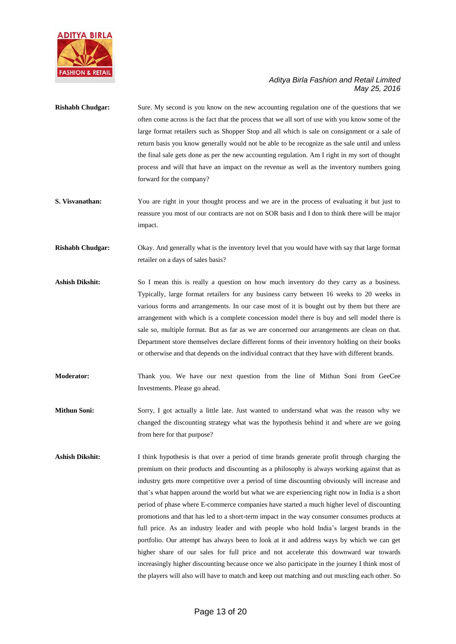![](_page_12_Picture_0.jpeg)

- **Rishabh Chudgar:** Sure. My second is you know on the new accounting regulation one of the questions that we often come across is the fact that the process that we all sort of use with you know some of the large format retailers such as Shopper Stop and all which is sale on consignment or a sale of return basis you know generally would not be able to be recognize as the sale until and unless the final sale gets done as per the new accounting regulation. Am I right in my sort of thought process and will that have an impact on the revenue as well as the inventory numbers going forward for the company?
- **S. Visvanathan:** You are right in your thought process and we are in the process of evaluating it but just to reassure you most of our contracts are not on SOR basis and I don to think there will be major impact.
- **Rishabh Chudgar:** Okay. And generally what is the inventory level that you would have with say that large format retailer on a days of sales basis?
- Ashish Dikshit: So I mean this is really a question on how much inventory do they carry as a business. Typically, large format retailers for any business carry between 16 weeks to 20 weeks in various forms and arrangements. In our case most of it is bought out by them but there are arrangement with which is a complete concession model there is buy and sell model there is sale so, multiple format. But as far as we are concerned our arrangements are clean on that. Department store themselves declare different forms of their inventory holding on their books or otherwise and that depends on the individual contract that they have with different brands.
- **Moderator:** Thank you. We have our next question from the line of Mithun Soni from GeeCee Investments. Please go ahead.
- **Mithun Soni:** Sorry, I got actually a little late. Just wanted to understand what was the reason why we changed the discounting strategy what was the hypothesis behind it and where are we going from here for that purpose?
- **Ashish Dikshit:** I think hypothesis is that over a period of time brands generate profit through charging the premium on their products and discounting as a philosophy is always working against that as industry gets more competitive over a period of time discounting obviously will increase and that's what happen around the world but what we are experiencing right now in India is a short period of phase where E-commerce companies have started a much higher level of discounting promotions and that has led to a short-term impact in the way consumer consumes products at full price. As an industry leader and with people who hold India's largest brands in the portfolio. Our attempt has always been to look at it and address ways by which we can get higher share of our sales for full price and not accelerate this downward war towards increasingly higher discounting because once we also participate in the journey I think most of the players will also will have to match and keep out matching and out muscling each other. So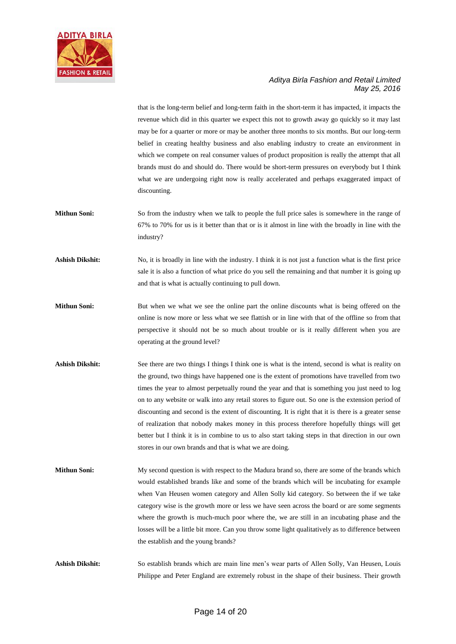![](_page_13_Picture_0.jpeg)

that is the long-term belief and long-term faith in the short-term it has impacted, it impacts the revenue which did in this quarter we expect this not to growth away go quickly so it may last may be for a quarter or more or may be another three months to six months. But our long-term belief in creating healthy business and also enabling industry to create an environment in which we compete on real consumer values of product proposition is really the attempt that all brands must do and should do. There would be short-term pressures on everybody but I think what we are undergoing right now is really accelerated and perhaps exaggerated impact of discounting.

- **Mithun Soni:** So from the industry when we talk to people the full price sales is somewhere in the range of 67% to 70% for us is it better than that or is it almost in line with the broadly in line with the industry?
- **Ashish Dikshit:** No, it is broadly in line with the industry. I think it is not just a function what is the first price sale it is also a function of what price do you sell the remaining and that number it is going up and that is what is actually continuing to pull down.
- **Mithun Soni:** But when we what we see the online part the online discounts what is being offered on the online is now more or less what we see flattish or in line with that of the offline so from that perspective it should not be so much about trouble or is it really different when you are operating at the ground level?
- Ashish Dikshit: See there are two things I things I think one is what is the intend, second is what is reality on the ground, two things have happened one is the extent of promotions have travelled from two times the year to almost perpetually round the year and that is something you just need to log on to any website or walk into any retail stores to figure out. So one is the extension period of discounting and second is the extent of discounting. It is right that it is there is a greater sense of realization that nobody makes money in this process therefore hopefully things will get better but I think it is in combine to us to also start taking steps in that direction in our own stores in our own brands and that is what we are doing.
- **Mithun Soni:** My second question is with respect to the Madura brand so, there are some of the brands which would established brands like and some of the brands which will be incubating for example when Van Heusen women category and Allen Solly kid category. So between the if we take category wise is the growth more or less we have seen across the board or are some segments where the growth is much-much poor where the, we are still in an incubating phase and the losses will be a little bit more. Can you throw some light qualitatively as to difference between the establish and the young brands?

**Ashish Dikshit:** So establish brands which are main line men's wear parts of Allen Solly, Van Heusen, Louis Philippe and Peter England are extremely robust in the shape of their business. Their growth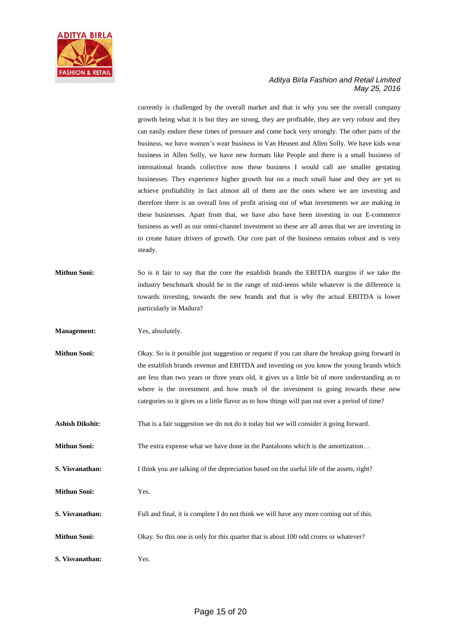![](_page_14_Picture_0.jpeg)

currently is challenged by the overall market and that is why you see the overall company growth being what it is but they are strong, they are profitable, they are very robust and they can easily endure these times of pressure and come back very strongly. The other parts of the business, we have women's wear business in Van Heusen and Allen Solly. We have kids wear business in Allen Solly, we have new formats like People and there is a small business of international brands collective now these business I would call are smaller gestating businesses. They experience higher growth but on a much small base and they are yet to achieve profitability in fact almost all of them are the ones where we are investing and therefore there is an overall loss of profit arising out of what investments we are making in these businesses. Apart from that, we have also have been investing in our E-commerce business as well as our omni-channel investment so these are all areas that we are investing in to create future drivers of growth. Our core part of the business remains robust and is very steady.

**Mithun Soni:** So is it fair to say that the core the establish brands the EBITDA margins if we take the industry benchmark should be in the range of mid-teens while whatever is the difference is towards investing, towards the new brands and that is why the actual EBITDA is lower particularly in Madura?

**Management:** Yes, absolutely.

- **Mithun Soni:** Okay. So is it possible just suggestion or request if you can share the breakup going forward in the establish brands revenue and EBITDA and investing on you know the young brands which are less than two years or three years old, it gives us a little bit of more understanding as to where is the investment and how much of the investment is going towards these new categories so it gives us a little flavor as to how things will pan out over a period of time?
- Ashish Dikshit: That is a fair suggestion we do not do it today but we will consider it going forward.
- **Mithun Soni:** The extra expense what we have done in the Pantaloons which is the amortization...
- **S. Visvanathan:** I think you are talking of the depreciation based on the useful life of the assets, right?
- **Mithun Soni:** Yes.
- **S. Visvanathan:** Full and final, it is complete I do not think we will have any more coming out of this.
- **Mithun Soni:** Okay. So this one is only for this quarter that is about 100 odd crores or whatever?
- **S. Visvanathan:** Yes.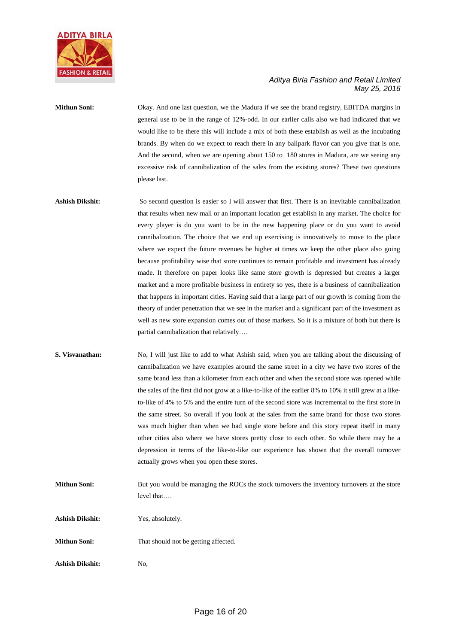![](_page_15_Picture_0.jpeg)

# **Mithun Soni:** Okay. And one last question, we the Madura if we see the brand registry, EBITDA margins in general use to be in the range of 12%-odd. In our earlier calls also we had indicated that we would like to be there this will include a mix of both these establish as well as the incubating brands. By when do we expect to reach there in any ballpark flavor can you give that is one. And the second, when we are opening about 150 to 180 stores in Madura, are we seeing any excessive risk of cannibalization of the sales from the existing stores? These two questions please last.

- Ashish Dikshit: So second question is easier so I will answer that first. There is an inevitable cannibalization that results when new mall or an important location get establish in any market. The choice for every player is do you want to be in the new happening place or do you want to avoid cannibalization. The choice that we end up exercising is innovatively to move to the place where we expect the future revenues be higher at times we keep the other place also going because profitability wise that store continues to remain profitable and investment has already made. It therefore on paper looks like same store growth is depressed but creates a larger market and a more profitable business in entirety so yes, there is a business of cannibalization that happens in important cities. Having said that a large part of our growth is coming from the theory of under penetration that we see in the market and a significant part of the investment as well as new store expansion comes out of those markets. So it is a mixture of both but there is partial cannibalization that relatively….
- **S. Visvanathan:** No, I will just like to add to what Ashish said, when you are talking about the discussing of cannibalization we have examples around the same street in a city we have two stores of the same brand less than a kilometer from each other and when the second store was opened while the sales of the first did not grow at a like-to-like of the earlier 8% to 10% it still grew at a liketo-like of 4% to 5% and the entire turn of the second store was incremental to the first store in the same street. So overall if you look at the sales from the same brand for those two stores was much higher than when we had single store before and this story repeat itself in many other cities also where we have stores pretty close to each other. So while there may be a depression in terms of the like-to-like our experience has shown that the overall turnover actually grows when you open these stores.
- **Mithun Soni:** But you would be managing the ROCs the stock turnovers the inventory turnovers at the store level that….

**Ashish Dikshit:** Yes, absolutely.

- **Mithun Soni:** That should not be getting affected.
- **Ashish Dikshit:** No,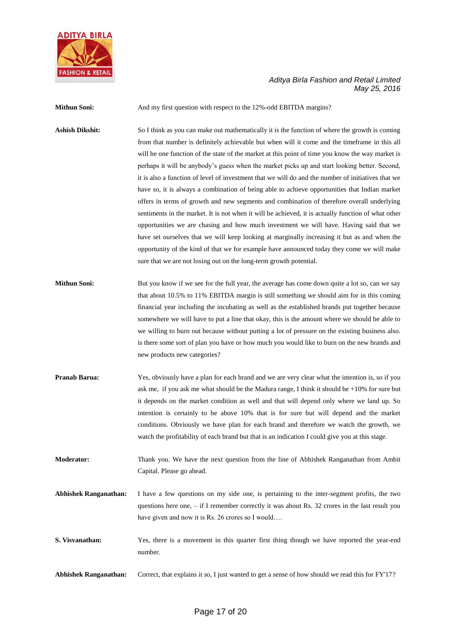![](_page_16_Picture_0.jpeg)

**Mithun Soni:** And my first question with respect to the 12%-odd EBITDA margins?

Ashish Dikshit: So I think as you can make out mathematically it is the function of where the growth is coming from that number is definitely achievable but when will it come and the timeframe in this all will be one function of the state of the market at this point of time you know the way market is perhaps it will be anybody's guess when the market picks up and start looking better. Second, it is also a function of level of investment that we will do and the number of initiatives that we have so, it is always a combination of being able to achieve opportunities that Indian market offers in terms of growth and new segments and combination of therefore overall underlying sentiments in the market. It is not when it will be achieved, it is actually function of what other opportunities we are chasing and how much investment we will have. Having said that we have set ourselves that we will keep looking at marginally increasing it but as and when the opportunity of the kind of that we for example have announced today they come we will make sure that we are not losing out on the long-term growth potential.

- **Mithun Soni:** But you know if we see for the full year, the average has come down quite a lot so, can we say that about 10.5% to 11% EBITDA margin is still something we should aim for in this coming financial year including the incubating as well as the established brands put together because somewhere we will have to put a line that okay, this is the amount where we should be able to we willing to burn out because without putting a lot of pressure on the existing business also. is there some sort of plan you have or how much you would like to burn on the new brands and new products new categories?
- **Pranab Barua:** Yes, obviously have a plan for each brand and we are very clear what the intention is, so if you ask me, if you ask me what should be the Madura range, I think it should be +10% for sure but it depends on the market condition as well and that will depend only where we land up. So intention is certainly to be above 10% that is for sure but will depend and the market conditions. Obviously we have plan for each brand and therefore we watch the growth, we watch the profitability of each brand but that is an indication I could give you at this stage.
- **Moderator:** Thank you. We have the next question from the line of Abhishek Ranganathan from Ambit Capital. Please go ahead.
- **Abhishek Ranganathan:** I have a few questions on my side one, is pertaining to the inter-segment profits, the two questions here one, – if I remember correctly it was about Rs. 32 crores in the last result you have given and now it is Rs. 26 crores so I would....
- **S. Visvanathan:** Yes, there is a movement in this quarter first thing though we have reported the year-end number.

**Abhishek Ranganathan:** Correct, that explains it so, I just wanted to get a sense of how should we read this for FY'17?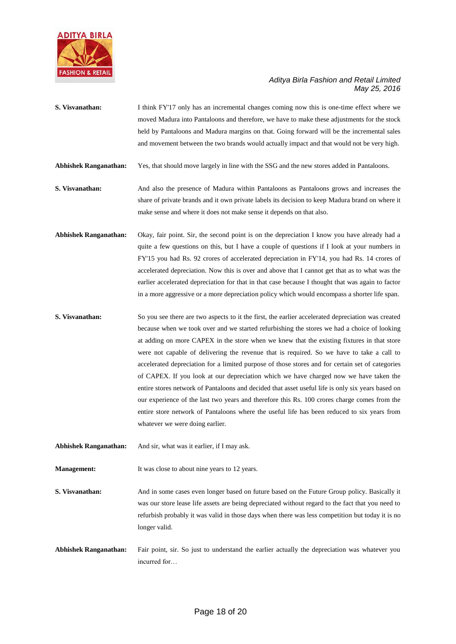![](_page_17_Picture_0.jpeg)

**S. Visvanathan:** I think FY'17 only has an incremental changes coming now this is one-time effect where we moved Madura into Pantaloons and therefore, we have to make these adjustments for the stock held by Pantaloons and Madura margins on that. Going forward will be the incremental sales and movement between the two brands would actually impact and that would not be very high.

**Abhishek Ranganathan:** Yes, that should move largely in line with the SSG and the new stores added in Pantaloons.

- **S. Visvanathan:** And also the presence of Madura within Pantaloons as Pantaloons grows and increases the share of private brands and it own private labels its decision to keep Madura brand on where it make sense and where it does not make sense it depends on that also.
- **Abhishek Ranganathan:** Okay, fair point. Sir, the second point is on the depreciation I know you have already had a quite a few questions on this, but I have a couple of questions if I look at your numbers in FY'15 you had Rs. 92 crores of accelerated depreciation in FY'14, you had Rs. 14 crores of accelerated depreciation. Now this is over and above that I cannot get that as to what was the earlier accelerated depreciation for that in that case because I thought that was again to factor in a more aggressive or a more depreciation policy which would encompass a shorter life span.
- **S. Visvanathan:** So you see there are two aspects to it the first, the earlier accelerated depreciation was created because when we took over and we started refurbishing the stores we had a choice of looking at adding on more CAPEX in the store when we knew that the existing fixtures in that store were not capable of delivering the revenue that is required. So we have to take a call to accelerated depreciation for a limited purpose of those stores and for certain set of categories of CAPEX. If you look at our depreciation which we have charged now we have taken the entire stores network of Pantaloons and decided that asset useful life is only six years based on our experience of the last two years and therefore this Rs. 100 crores charge comes from the entire store network of Pantaloons where the useful life has been reduced to six years from whatever we were doing earlier.
- **Abhishek Ranganathan:** And sir, what was it earlier, if I may ask.

**Management:** It was close to about nine years to 12 years.

**S. Visvanathan:** And in some cases even longer based on future based on the Future Group policy. Basically it was our store lease life assets are being depreciated without regard to the fact that you need to refurbish probably it was valid in those days when there was less competition but today it is no longer valid.

**Abhishek Ranganathan:** Fair point, sir. So just to understand the earlier actually the depreciation was whatever you incurred for…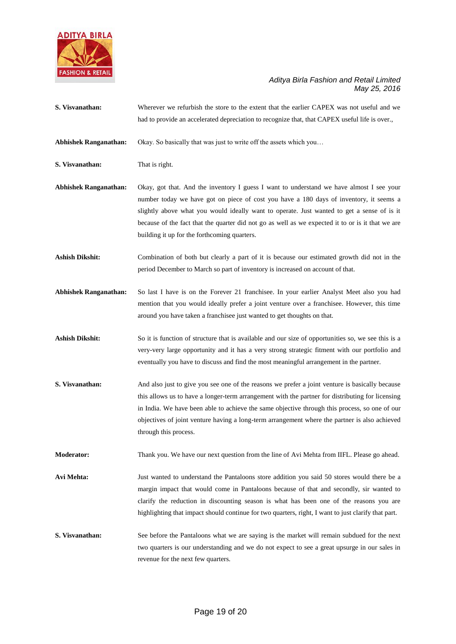![](_page_18_Picture_0.jpeg)

**S. Visvanathan:** Wherever we refurbish the store to the extent that the earlier CAPEX was not useful and we had to provide an accelerated depreciation to recognize that, that CAPEX useful life is over.,

**Abhishek Ranganathan:** Okay. So basically that was just to write off the assets which you…

**S. Visvanathan:** That is right.

**Abhishek Ranganathan:** Okay, got that. And the inventory I guess I want to understand we have almost I see your number today we have got on piece of cost you have a 180 days of inventory, it seems a slightly above what you would ideally want to operate. Just wanted to get a sense of is it because of the fact that the quarter did not go as well as we expected it to or is it that we are building it up for the forthcoming quarters.

**Ashish Dikshit:** Combination of both but clearly a part of it is because our estimated growth did not in the period December to March so part of inventory is increased on account of that.

**Abhishek Ranganathan:** So last I have is on the Forever 21 franchisee. In your earlier Analyst Meet also you had mention that you would ideally prefer a joint venture over a franchisee. However, this time around you have taken a franchisee just wanted to get thoughts on that.

Ashish Dikshit: So it is function of structure that is available and our size of opportunities so, we see this is a very-very large opportunity and it has a very strong strategic fitment with our portfolio and eventually you have to discuss and find the most meaningful arrangement in the partner.

**S. Visvanathan:** And also just to give you see one of the reasons we prefer a joint venture is basically because this allows us to have a longer-term arrangement with the partner for distributing for licensing in India. We have been able to achieve the same objective through this process, so one of our objectives of joint venture having a long-term arrangement where the partner is also achieved through this process.

**Moderator:** Thank you. We have our next question from the line of Avi Mehta from IIFL. Please go ahead.

**Avi Mehta:** Just wanted to understand the Pantaloons store addition you said 50 stores would there be a margin impact that would come in Pantaloons because of that and secondly, sir wanted to clarify the reduction in discounting season is what has been one of the reasons you are highlighting that impact should continue for two quarters, right, I want to just clarify that part.

**S. Visvanathan:** See before the Pantaloons what we are saying is the market will remain subdued for the next two quarters is our understanding and we do not expect to see a great upsurge in our sales in revenue for the next few quarters.